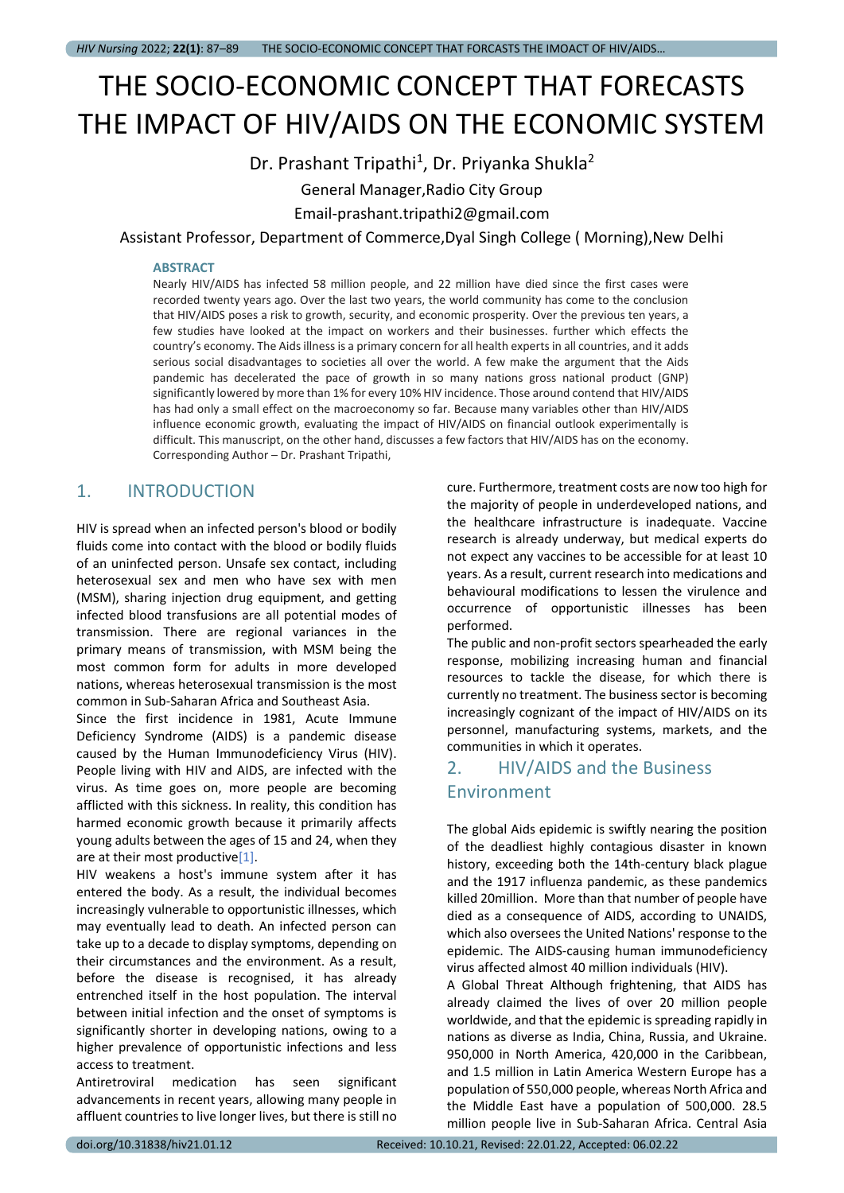# THE SOCIO-ECONOMIC CONCEPT THAT FORECASTS THE IMPACT OF HIV/AIDS ON THE ECONOMIC SYSTEM

# Dr. Prashant Tripathi<sup>1</sup>, Dr. Priyanka Shukla<sup>2</sup>

## General Manager,Radio City Group

Email-prashant.tripathi2@gmail.com

Assistant Professor, Department of Commerce,Dyal Singh College ( Morning),New Delhi

#### **ABSTRACT**

Nearly HIV/AIDS has infected 58 million people, and 22 million have died since the first cases were recorded twenty years ago. Over the last two years, the world community has come to the conclusion that HIV/AIDS poses a risk to growth, security, and economic prosperity. Over the previous ten years, a few studies have looked at the impact on workers and their businesses. further which effects the country's economy. The Aids illness is a primary concern for all health experts in all countries, and it adds serious social disadvantages to societies all over the world. A few make the argument that the Aids pandemic has decelerated the pace of growth in so many nations gross national product (GNP) significantly lowered by more than 1% for every 10% HIV incidence. Those around contend that HIV/AIDS has had only a small effect on the macroeconomy so far. Because many variables other than HIV/AIDS influence economic growth, evaluating the impact of HIV/AIDS on financial outlook experimentally is difficult. This manuscript, on the other hand, discusses a few factors that HIV/AIDS has on the economy. Corresponding Author – Dr. Prashant Tripathi,

## 1. INTRODUCTION

HIV is spread when an infected person's blood or bodily fluids come into contact with the blood or bodily fluids of an uninfected person. Unsafe sex contact, including heterosexual sex and men who have sex with men (MSM), sharing injection drug equipment, and getting infected blood transfusions are all potential modes of transmission. There are regional variances in the primary means of transmission, with MSM being the most common form for adults in more developed nations, whereas heterosexual transmission is the most common in Sub-Saharan Africa and Southeast Asia.

Since the first incidence in 1981, Acute Immune Deficiency Syndrome (AIDS) is a pandemic disease caused by the Human Immunodeficiency Virus (HIV). People living with HIV and AIDS, are infected with the virus. As time goes on, more people are becoming afflicted with this sickness. In reality, this condition has harmed economic growth because it primarily affects young adults between the ages of 15 and 24, when they are at their most productive[1].

HIV weakens a host's immune system after it has entered the body. As a result, the individual becomes increasingly vulnerable to opportunistic illnesses, which may eventually lead to death. An infected person can take up to a decade to display symptoms, depending on their circumstances and the environment. As a result, before the disease is recognised, it has already entrenched itself in the host population. The interval between initial infection and the onset of symptoms is significantly shorter in developing nations, owing to a higher prevalence of opportunistic infections and less access to treatment.

Antiretroviral medication has seen significant advancements in recent years, allowing many people in affluent countries to live longer lives, but there is still no

cure. Furthermore, treatment costs are now too high for the majority of people in underdeveloped nations, and the healthcare infrastructure is inadequate. Vaccine research is already underway, but medical experts do not expect any vaccines to be accessible for at least 10 years. As a result, current research into medications and behavioural modifications to lessen the virulence and occurrence of opportunistic illnesses has been performed.

The public and non-profit sectors spearheaded the early response, mobilizing increasing human and financial resources to tackle the disease, for which there is currently no treatment. The business sector is becoming increasingly cognizant of the impact of HIV/AIDS on its personnel, manufacturing systems, markets, and the communities in which it operates.

# 2. HIV/AIDS and the Business Environment

The global Aids epidemic is swiftly nearing the position of the deadliest highly contagious disaster in known history, exceeding both the 14th-century black plague and the 1917 influenza pandemic, as these pandemics killed 20million. More than that number of people have died as a consequence of AIDS, according to UNAIDS, which also oversees the United Nations' response to the epidemic. The AIDS-causing human immunodeficiency virus affected almost 40 million individuals (HIV).

A Global Threat Although frightening, that AIDS has already claimed the lives of over 20 million people worldwide, and that the epidemic is spreading rapidly in nations as diverse as India, China, Russia, and Ukraine. 950,000 in North America, 420,000 in the Caribbean, and 1.5 million in Latin America Western Europe has a population of 550,000 people, whereas North Africa and the Middle East have a population of 500,000. 28.5 million people live in Sub-Saharan Africa. Central Asia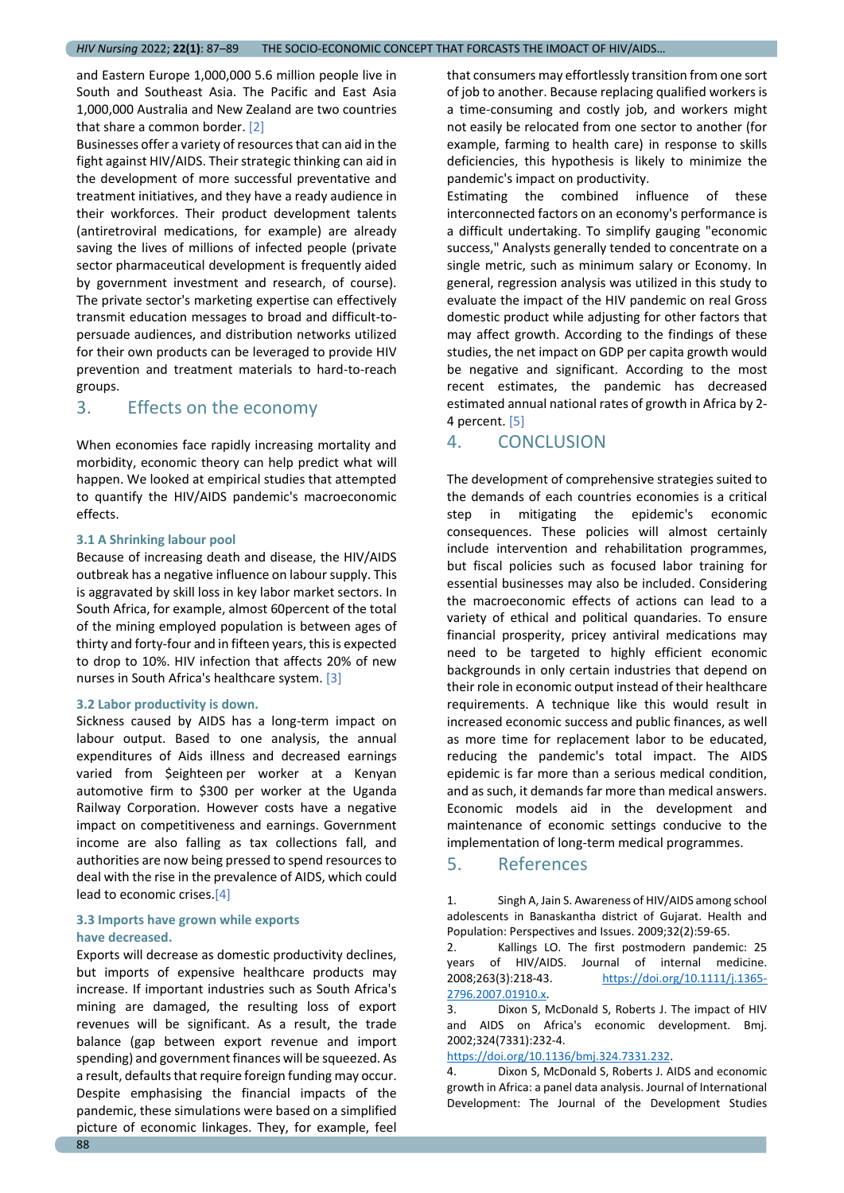and Eastern Europe 1,000,000 5.6 million people live in South and Southeast Asia. The Pacific and East Asia 1,000,000 Australia and New Zealand are two countries that share a common border. [2]

Businesses offer a variety of resources that can aid in the fight against HIV/AIDS. Their strategic thinking can aid in the development of more successful preventative and treatment initiatives, and they have a ready audience in their workforces. Their product development talents (antiretroviral medications, for example) are already saving the lives of millions of infected people (private sector pharmaceutical development is frequently aided by government investment and research, of course). The private sector's marketing expertise can effectively transmit education messages to broad and difficult-topersuade audiences, and distribution networks utilized for their own products can be leveraged to provide HIV prevention and treatment materials to hard-to-reach groups.

## 3. Effects on the economy

When economies face rapidly increasing mortality and morbidity, economic theory can help predict what will happen. We looked at empirical studies that attempted to quantify the HIV/AIDS pandemic's macroeconomic effects.

#### **3.1 A Shrinking labour pool**

Because of increasing death and disease, the HIV/AIDS outbreak has a negative influence on labour supply. This is aggravated by skill loss in key labor market sectors. In South Africa, for example, almost 60percent of the total of the mining employed population is between ages of thirty and forty-four and in fifteen years, this is expected to drop to 10%. HIV infection that affects 20% of new nurses in South Africa's healthcare system. [3]

#### **3.2 Labor productivity is down.**

Sickness caused by AIDS has a long-term impact on labour output. Based to one analysis, the annual expenditures of Aids illness and decreased earnings varied from \$eighteen per worker at a Kenyan automotive firm to \$300 per worker at the Uganda Railway Corporation. However costs have a negative impact on competitiveness and earnings. Government income are also falling as tax collections fall, and authorities are now being pressed to spend resources to deal with the rise in the prevalence of AIDS, which could lead to economic crises.[4]

## **3.3 Imports have grown while exports have decreased.**

Exports will decrease as domestic productivity declines, but imports of expensive healthcare products may increase. If important industries such as South Africa's mining are damaged, the resulting loss of export revenues will be significant. As a result, the trade balance (gap between export revenue and import spending) and government finances will be squeezed. As a result, defaults that require foreign funding may occur. Despite emphasising the financial impacts of the pandemic, these simulations were based on a simplified picture of economic linkages. They, for example, feel

that consumers may effortlessly transition from one sort of job to another. Because replacing qualified workers is a time-consuming and costly job, and workers might not easily be relocated from one sector to another (for example, farming to health care) in response to skills deficiencies, this hypothesis is likely to minimize the pandemic's impact on productivity.

Estimating the combined influence of these interconnected factors on an economy's performance is a difficult undertaking. To simplify gauging "economic success," Analysts generally tended to concentrate on a single metric, such as minimum salary or Economy. In general, regression analysis was utilized in this study to evaluate the impact of the HIV pandemic on real Gross domestic product while adjusting for other factors that may affect growth. According to the findings of these studies, the net impact on GDP per capita growth would be negative and significant. According to the most recent estimates, the pandemic has decreased estimated annual national rates of growth in Africa by 2- 4 percent. [5]

## 4. CONCLUSION

The development of comprehensive strategies suited to the demands of each countries economies is a critical step in mitigating the epidemic's economic consequences. These policies will almost certainly include intervention and rehabilitation programmes, but fiscal policies such as focused labor training for essential businesses may also be included. Considering the macroeconomic effects of actions can lead to a variety of ethical and political quandaries. To ensure financial prosperity, pricey antiviral medications may need to be targeted to highly efficient economic backgrounds in only certain industries that depend on their role in economic output instead of their healthcare requirements. A technique like this would result in increased economic success and public finances, as well as more time for replacement labor to be educated, reducing the pandemic's total impact. The AIDS epidemic is far more than a serious medical condition, and as such, it demands far more than medical answers. Economic models aid in the development and maintenance of economic settings conducive to the implementation of long-term medical programmes.

## 5. References

1. Singh A, Jain S. Awareness of HIV/AIDS among school adolescents in Banaskantha district of Gujarat. Health and Population: Perspectives and Issues. 2009;32(2):59-65.

2. Kallings LO. The first postmodern pandemic: 25 years of HIV/AIDS. Journal of internal medicine. 2008;263(3):218-43. [https://doi.org/10.1111/j.1365-](https://doi.org/10.1111/j.1365-2796.2007.01910.x) [2796.2007.01910.x.](https://doi.org/10.1111/j.1365-2796.2007.01910.x) 

3. Dixon S, McDonald S, Roberts J. The impact of HIV and AIDS on Africa's economic development. Bmj. 2002;324(7331):232-4.

[https://doi.org/10.1136/bmj.324.7331.232.](https://doi.org/10.1136/bmj.324.7331.232)

4. Dixon S, McDonald S, Roberts J. AIDS and economic growth in Africa: a panel data analysis. Journal of International Development: The Journal of the Development Studies